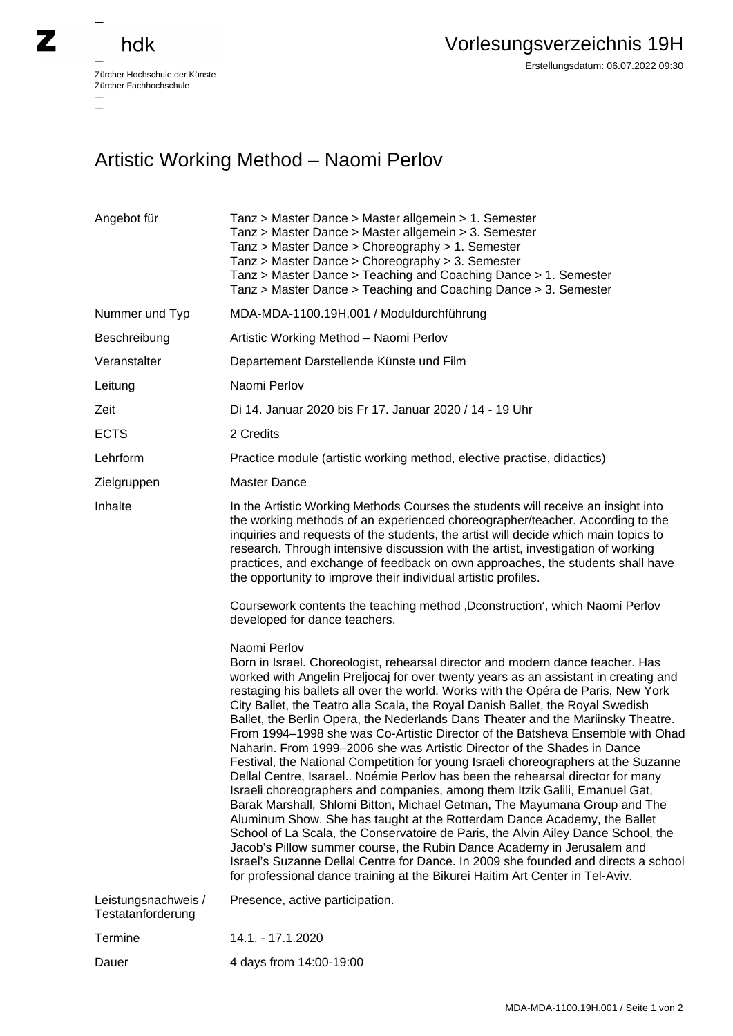## hdk

—

 $\overline{\phantom{a}}$ 

Zürcher Hochschule der Künste Zürcher Fachhochschule —

## Artistic Working Method – Naomi Perlov

| Angebot für                              | Tanz > Master Dance > Master allgemein > 1. Semester<br>Tanz > Master Dance > Master allgemein > 3. Semester<br>Tanz > Master Dance > Choreography > 1. Semester<br>Tanz > Master Dance > Choreography > 3. Semester<br>Tanz > Master Dance > Teaching and Coaching Dance > 1. Semester<br>Tanz > Master Dance > Teaching and Coaching Dance > 3. Semester                                                                                                                                                                                                                                                                                                                                                                                                                                                                                                                                                                                                                                                                                                                                                                                                                                                                                                                                                                                                          |
|------------------------------------------|---------------------------------------------------------------------------------------------------------------------------------------------------------------------------------------------------------------------------------------------------------------------------------------------------------------------------------------------------------------------------------------------------------------------------------------------------------------------------------------------------------------------------------------------------------------------------------------------------------------------------------------------------------------------------------------------------------------------------------------------------------------------------------------------------------------------------------------------------------------------------------------------------------------------------------------------------------------------------------------------------------------------------------------------------------------------------------------------------------------------------------------------------------------------------------------------------------------------------------------------------------------------------------------------------------------------------------------------------------------------|
| Nummer und Typ                           | MDA-MDA-1100.19H.001 / Moduldurchführung                                                                                                                                                                                                                                                                                                                                                                                                                                                                                                                                                                                                                                                                                                                                                                                                                                                                                                                                                                                                                                                                                                                                                                                                                                                                                                                            |
| Beschreibung                             | Artistic Working Method - Naomi Perlov                                                                                                                                                                                                                                                                                                                                                                                                                                                                                                                                                                                                                                                                                                                                                                                                                                                                                                                                                                                                                                                                                                                                                                                                                                                                                                                              |
| Veranstalter                             | Departement Darstellende Künste und Film                                                                                                                                                                                                                                                                                                                                                                                                                                                                                                                                                                                                                                                                                                                                                                                                                                                                                                                                                                                                                                                                                                                                                                                                                                                                                                                            |
| Leitung                                  | Naomi Perlov                                                                                                                                                                                                                                                                                                                                                                                                                                                                                                                                                                                                                                                                                                                                                                                                                                                                                                                                                                                                                                                                                                                                                                                                                                                                                                                                                        |
| Zeit                                     | Di 14. Januar 2020 bis Fr 17. Januar 2020 / 14 - 19 Uhr                                                                                                                                                                                                                                                                                                                                                                                                                                                                                                                                                                                                                                                                                                                                                                                                                                                                                                                                                                                                                                                                                                                                                                                                                                                                                                             |
| <b>ECTS</b>                              | 2 Credits                                                                                                                                                                                                                                                                                                                                                                                                                                                                                                                                                                                                                                                                                                                                                                                                                                                                                                                                                                                                                                                                                                                                                                                                                                                                                                                                                           |
| Lehrform                                 | Practice module (artistic working method, elective practise, didactics)                                                                                                                                                                                                                                                                                                                                                                                                                                                                                                                                                                                                                                                                                                                                                                                                                                                                                                                                                                                                                                                                                                                                                                                                                                                                                             |
| Zielgruppen                              | Master Dance                                                                                                                                                                                                                                                                                                                                                                                                                                                                                                                                                                                                                                                                                                                                                                                                                                                                                                                                                                                                                                                                                                                                                                                                                                                                                                                                                        |
| Inhalte                                  | In the Artistic Working Methods Courses the students will receive an insight into<br>the working methods of an experienced choreographer/teacher. According to the<br>inquiries and requests of the students, the artist will decide which main topics to<br>research. Through intensive discussion with the artist, investigation of working<br>practices, and exchange of feedback on own approaches, the students shall have<br>the opportunity to improve their individual artistic profiles.                                                                                                                                                                                                                                                                                                                                                                                                                                                                                                                                                                                                                                                                                                                                                                                                                                                                   |
|                                          | Coursework contents the teaching method , Dconstruction', which Naomi Perlov<br>developed for dance teachers.                                                                                                                                                                                                                                                                                                                                                                                                                                                                                                                                                                                                                                                                                                                                                                                                                                                                                                                                                                                                                                                                                                                                                                                                                                                       |
|                                          | Naomi Perlov<br>Born in Israel. Choreologist, rehearsal director and modern dance teacher. Has<br>worked with Angelin Preljocaj for over twenty years as an assistant in creating and<br>restaging his ballets all over the world. Works with the Opéra de Paris, New York<br>City Ballet, the Teatro alla Scala, the Royal Danish Ballet, the Royal Swedish<br>Ballet, the Berlin Opera, the Nederlands Dans Theater and the Mariinsky Theatre.<br>From 1994–1998 she was Co-Artistic Director of the Batsheva Ensemble with Ohad<br>Naharin. From 1999-2006 she was Artistic Director of the Shades in Dance<br>Festival, the National Competition for young Israeli choreographers at the Suzanne<br>Dellal Centre, Isarael Noémie Perlov has been the rehearsal director for many<br>Israeli choreographers and companies, among them Itzik Galili, Emanuel Gat,<br>Barak Marshall, Shlomi Bitton, Michael Getman, The Mayumana Group and The<br>Aluminum Show. She has taught at the Rotterdam Dance Academy, the Ballet<br>School of La Scala, the Conservatoire de Paris, the Alvin Ailey Dance School, the<br>Jacob's Pillow summer course, the Rubin Dance Academy in Jerusalem and<br>Israel's Suzanne Dellal Centre for Dance. In 2009 she founded and directs a school<br>for professional dance training at the Bikurei Haitim Art Center in Tel-Aviv. |
| Leistungsnachweis /<br>Testatanforderung | Presence, active participation.                                                                                                                                                                                                                                                                                                                                                                                                                                                                                                                                                                                                                                                                                                                                                                                                                                                                                                                                                                                                                                                                                                                                                                                                                                                                                                                                     |
| Termine                                  | 14.1. - 17.1.2020                                                                                                                                                                                                                                                                                                                                                                                                                                                                                                                                                                                                                                                                                                                                                                                                                                                                                                                                                                                                                                                                                                                                                                                                                                                                                                                                                   |
| Dauer                                    | 4 days from 14:00-19:00                                                                                                                                                                                                                                                                                                                                                                                                                                                                                                                                                                                                                                                                                                                                                                                                                                                                                                                                                                                                                                                                                                                                                                                                                                                                                                                                             |